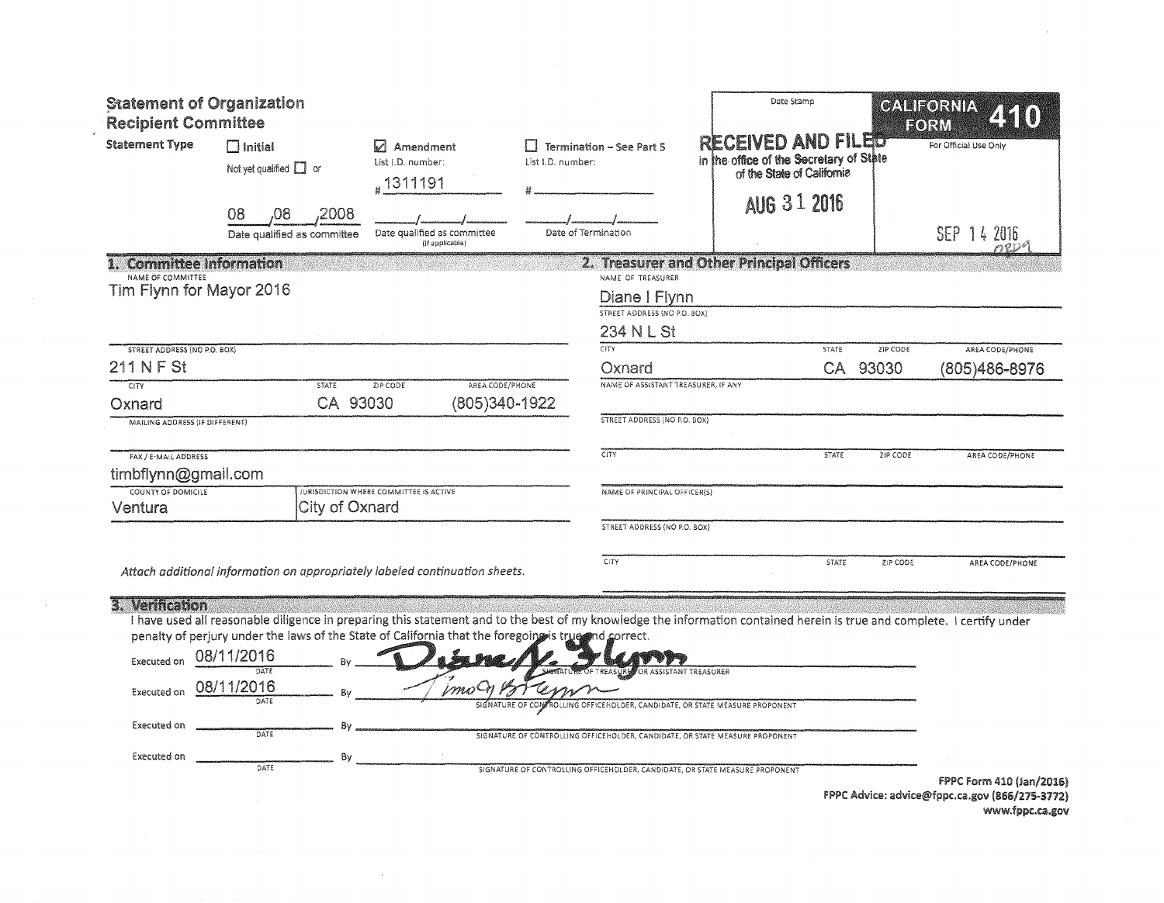| <b>Statement of Organization</b><br><b>Recipient Committee</b> |                                               |                |                                                                                                                                                                                                                                                                                 |                   |                                                                    | Date Stamp                                                                                  |              |          | GALIEORNIA<br>EORM    |
|----------------------------------------------------------------|-----------------------------------------------|----------------|---------------------------------------------------------------------------------------------------------------------------------------------------------------------------------------------------------------------------------------------------------------------------------|-------------------|--------------------------------------------------------------------|---------------------------------------------------------------------------------------------|--------------|----------|-----------------------|
| <b>Statement Type</b>                                          | $\Box$ Initial<br>Not yet qualified $\Box$ or |                | Amendment<br>List I.D. number:<br>#1311191                                                                                                                                                                                                                                      | List I.D. number: | <b>Termination - See Part 5</b>                                    | RECEIVED AND FILED<br>in the office of the Secretary of State<br>of the State of California |              |          | For Official Use Only |
|                                                                | 08<br>80,<br>Date qualified as committee      | ,2008          | Date qualified as committee<br>(if applicable)                                                                                                                                                                                                                                  |                   | Date of Termination                                                | AUG 3 1 2016                                                                                |              |          | SEP 14 2016           |
| 1. Committee Information                                       |                                               |                |                                                                                                                                                                                                                                                                                 |                   |                                                                    | 2. Treasurer and Other Principal Officers                                                   |              |          |                       |
| NAME OF COMMITTEE<br>Tim Flynn for Mayor 2016                  |                                               |                |                                                                                                                                                                                                                                                                                 |                   | NAME OF TREASURER<br>Diane I Flynn<br>STREET ADDRESS (NO P.O. BOX) |                                                                                             |              |          |                       |
|                                                                |                                               |                |                                                                                                                                                                                                                                                                                 |                   | 234 N L St                                                         |                                                                                             |              |          |                       |
| <b>STREET ADDRESS (NO P.O. BOX)</b>                            |                                               |                |                                                                                                                                                                                                                                                                                 |                   | <b>CITY</b>                                                        |                                                                                             | STATE        | ZIP CODE | AREA CODE/PHONE       |
| 211 N F St                                                     |                                               |                |                                                                                                                                                                                                                                                                                 |                   | Oxnard                                                             |                                                                                             | CA.          | 93030    | (805)486-8976         |
| CITY                                                           |                                               | <b>STATE</b>   | AREA CODE/PHONE<br>ZIP CODE                                                                                                                                                                                                                                                     |                   | NAME OF ASSISTANT TREASURER, IF ANY                                |                                                                                             |              |          |                       |
| Oxnard<br>MAILING ADDRESS (IF DIFFERENT)                       |                                               | CA 93030       |                                                                                                                                                                                                                                                                                 | (805)340-1922     | STREET ADDRESS (NO P.O. BOX)                                       |                                                                                             |              |          |                       |
|                                                                |                                               |                |                                                                                                                                                                                                                                                                                 |                   |                                                                    |                                                                                             |              |          |                       |
| FAX / E-MAIL ADDRESS<br>timbflynn@gmail.com                    |                                               |                |                                                                                                                                                                                                                                                                                 |                   | CITY                                                               |                                                                                             | <b>STATE</b> | ZIP CODE | AREA CODE/PHONE       |
| COUNTY OF DOMICILE<br>Ventura                                  |                                               | City of Oxnard | JURISDICTION WHERE COMMITTEE IS ACTIVE                                                                                                                                                                                                                                          |                   | NAME OF PRINCIPAL OFFICER(S)                                       |                                                                                             |              |          |                       |
|                                                                |                                               |                |                                                                                                                                                                                                                                                                                 |                   | STREET ADDRESS (NO P.O. BOX)                                       |                                                                                             |              |          |                       |
|                                                                |                                               |                | Attach additional information on appropriately labeled continuation sheets.                                                                                                                                                                                                     |                   | <b>CITY</b>                                                        |                                                                                             | <b>STATE</b> | ZIP CODE | AREA CODE/PHONE       |
| 3. Verification                                                |                                               |                | I have used all reasonable diligence in preparing this statement and to the best of my knowledge the information contained herein is true and complete. I certify under<br>penalty of perjury under the laws of the State of California that the foregoing is true and correct. |                   |                                                                    |                                                                                             |              |          |                       |
| <b>Executed on</b>                                             | 08/11/2016<br>DATE                            |                |                                                                                                                                                                                                                                                                                 |                   |                                                                    | ANT TREASURER                                                                               |              |          |                       |
| Executed on                                                    | 08/11/2016<br>DATE                            |                | imo <sup>c</sup>                                                                                                                                                                                                                                                                |                   |                                                                    | ICEHOLDER, CANDIDATE, OR STATE MEASURE PROPONENT                                            |              |          |                       |
| Executed on                                                    | DATE                                          | Bv             |                                                                                                                                                                                                                                                                                 |                   |                                                                    | SIGNATURE OF CONTROLLING OFFICEHOLDER, CANDIDATE, OR STATE MEASURE PROPONENT                |              |          |                       |

SIGNATURE OF CONTROLLING OFFICEHOLDER, CANDIDATE, OR STATE MEASURE PROPONENT

Executed on  $\frac{B_1}{DATE}$  By

FPPC form 410 (Jan/20161 FPPC Advice: advice@fppc.ca.gov www.fppc.ca.gov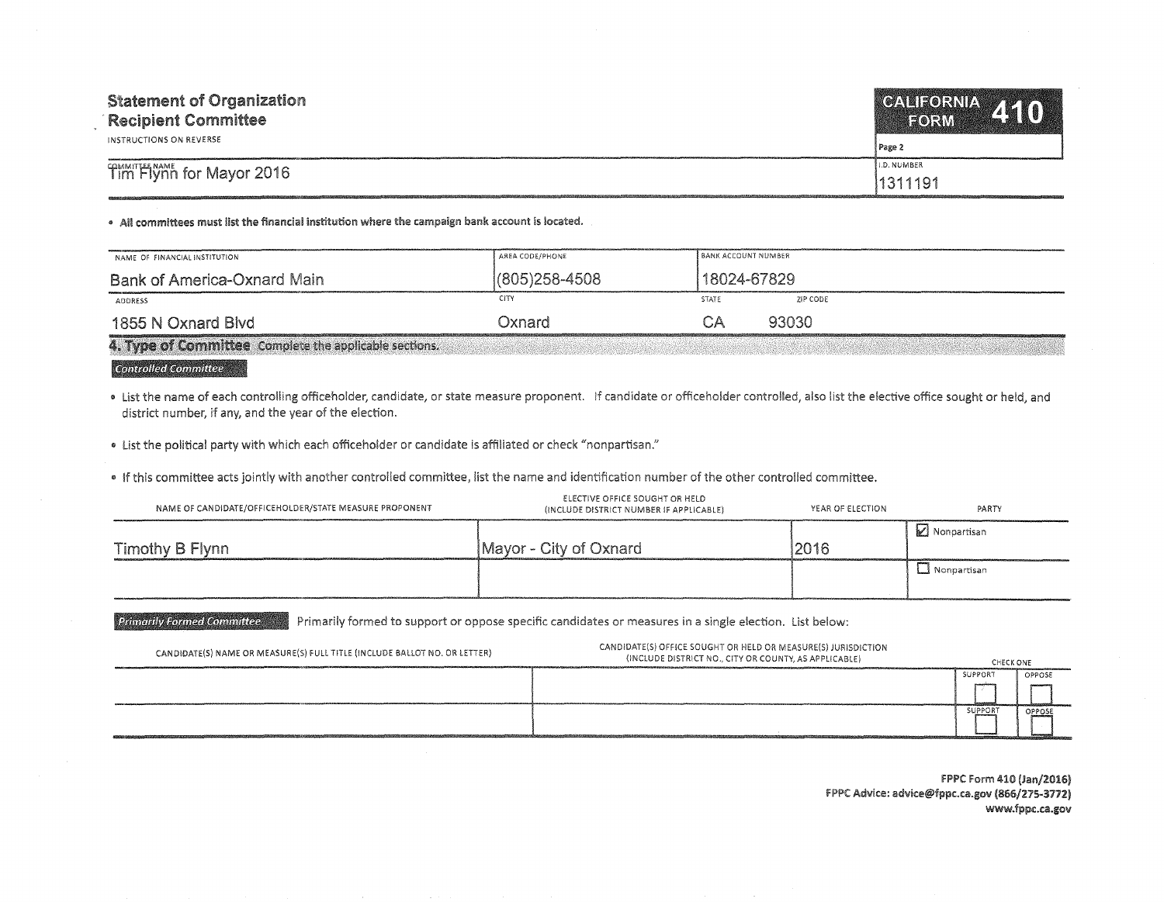| <b>Statement of Organization</b><br><b>Recipient Committee</b><br>INSTRUCTIONS ON REVERSE | CALIFORNIA 410<br>Page 2 |
|-------------------------------------------------------------------------------------------|--------------------------|
| Tim Flynn for Mayor 2016                                                                  | <b>I.D. NUMBER</b>       |
|                                                                                           | 1311191                  |

• All committees must list the financial institution where the campaign bank account is located.

| NAME OF FINANCIAL INSTITUTION                          | AREA CODE/PHONE   | i BANK ACCOUNT NUMBER |          |
|--------------------------------------------------------|-------------------|-----------------------|----------|
| Bank of America-Oxnard Main                            | $(805)258 - 4508$ | 18024-67829           |          |
| ADDRESS                                                | CITY              | STATE                 | ZIP CODE |
| 1855 N Oxnard Blvd                                     | Dxnard.           | CΑ                    | 93030    |
| 4. Type of Committee Complete the applicable sections. |                   |                       |          |

## **Controlled Committee**

• List the name of each controlling officeholder, candidate, or state measure proponent. If candidate or officeholder controlled, also list the elective office sought or held, and district number, if any, and the year of the election.

• List the political party with which each officeholder or candidate is affiliated or check "nonpartisan."

• If this committee acts jointly with another controlled committee, list the name and identification number of the other controlled committee.

| NAME OF CANDIDATE/OFFICEHOLDER/STATE MEASURE PROPONENT | ELECTIVE OFFICE SOUGHT OR HELD<br>(INCLUDE DISTRICT NUMBER IF APPLICABLE) | YEAR OF ELECTION | PARTY         |
|--------------------------------------------------------|---------------------------------------------------------------------------|------------------|---------------|
| Timothy B Flynn                                        | Mayor - City of Oxnard                                                    | 2016             | . Monpartisan |
|                                                        |                                                                           |                  | I Nonpartisan |
|                                                        |                                                                           |                  |               |

Primarily Formed Committee The Primarily formed to support or oppose specific candidates or measures in a single election. List below:

| CANDIDATE(S) NAME OR MEASURE(S) FULL TITLE (INCLUDE BALLOT NO. OR LETTER) | CANDIDATE(S) OFFICE SOUGHT OR HELD OR MEASURE(S) JURISDICTION<br>(INCLUDE DISTRICT NO., CITY OR COUNTY, AS APPLICABLE) | CHECK ONE |        |
|---------------------------------------------------------------------------|------------------------------------------------------------------------------------------------------------------------|-----------|--------|
|                                                                           |                                                                                                                        | SUPPORT   | OPPOSE |
|                                                                           |                                                                                                                        | SUPPORT   | OPPOSE |

FPPC Form 410 (Jan/2016) FPPC Advice: advice@fppc.ca.gov (866/275-3772) www.fppc.ca.gov